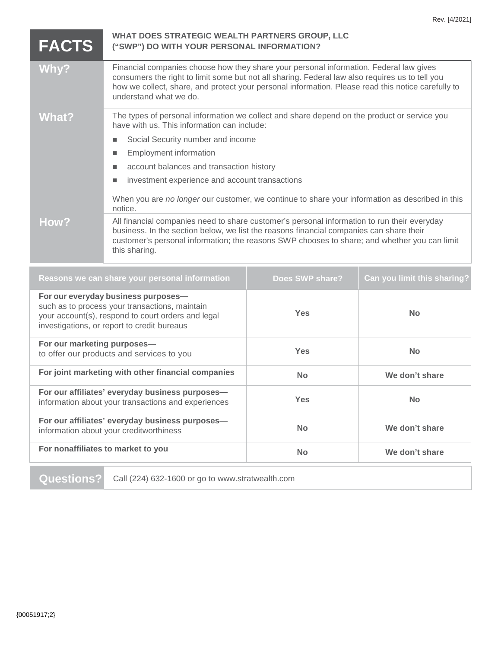| <b>FACTS</b>                                                                                                                                                                               | WHAT DOES STRATEGIC WEALTH PARTNERS GROUP, LLC<br>("SWP") DO WITH YOUR PERSONAL INFORMATION?                                                                                                                                                                                                                              |                 |                             |
|--------------------------------------------------------------------------------------------------------------------------------------------------------------------------------------------|---------------------------------------------------------------------------------------------------------------------------------------------------------------------------------------------------------------------------------------------------------------------------------------------------------------------------|-----------------|-----------------------------|
| Why?                                                                                                                                                                                       | Financial companies choose how they share your personal information. Federal law gives<br>consumers the right to limit some but not all sharing. Federal law also requires us to tell you<br>how we collect, share, and protect your personal information. Please read this notice carefully to<br>understand what we do. |                 |                             |
| <b>What?</b>                                                                                                                                                                               | The types of personal information we collect and share depend on the product or service you<br>have with us. This information can include:                                                                                                                                                                                |                 |                             |
|                                                                                                                                                                                            | Social Security number and income<br>п                                                                                                                                                                                                                                                                                    |                 |                             |
|                                                                                                                                                                                            | <b>Employment information</b><br>п                                                                                                                                                                                                                                                                                        |                 |                             |
|                                                                                                                                                                                            | account balances and transaction history                                                                                                                                                                                                                                                                                  |                 |                             |
|                                                                                                                                                                                            | investment experience and account transactions<br>$\blacksquare$                                                                                                                                                                                                                                                          |                 |                             |
|                                                                                                                                                                                            | When you are no longer our customer, we continue to share your information as described in this<br>notice.                                                                                                                                                                                                                |                 |                             |
| How?                                                                                                                                                                                       | All financial companies need to share customer's personal information to run their everyday<br>business. In the section below, we list the reasons financial companies can share their<br>customer's personal information; the reasons SWP chooses to share; and whether you can limit<br>this sharing.                   |                 |                             |
| Reasons we can share your personal information                                                                                                                                             |                                                                                                                                                                                                                                                                                                                           | Does SWP share? | Can you limit this sharing? |
| For our everyday business purposes-<br>such as to process your transactions, maintain<br>your account(s), respond to court orders and legal<br>investigations, or report to credit bureaus |                                                                                                                                                                                                                                                                                                                           | <b>Yes</b>      | <b>No</b>                   |
| For our marketing purposes-<br>to offer our products and services to you                                                                                                                   |                                                                                                                                                                                                                                                                                                                           | <b>Yes</b>      | <b>No</b>                   |
| For joint marketing with other financial companies                                                                                                                                         |                                                                                                                                                                                                                                                                                                                           | <b>No</b>       | We don't share              |
| For our affiliates' everyday business purposes-<br>information about your transactions and experiences                                                                                     |                                                                                                                                                                                                                                                                                                                           | Yes             | <b>No</b>                   |
| For our affiliates' everyday business purposes-<br>information about your creditworthiness                                                                                                 |                                                                                                                                                                                                                                                                                                                           | <b>No</b>       | We don't share              |

**For nonaffiliates to market to you No No We don't share** 

**Questions?** Call (224) 632-1600 or go to www.stratwealth.com